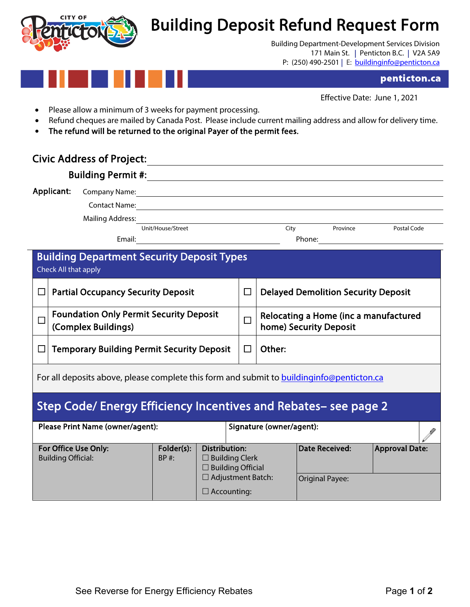

## Building Deposit Refund Request Form<br>Building Department-Development Services Division

 171 Main St. | Penticton B.C. | V2A 5A9 P: (250) 490-2501 | E: <u>buildinginfo@penticton.ca</u>

## penticton.ca

Effective Date: June 1, 2021

- Please allow a minimum of 3 weeks for payment processing.
- Refund cheques are mailed by Canada Post. Please include current mailing address and allow for delivery time.
- The refund will be returned to the original Payer of the permit fees.

## Civic Address of Project:

| Applicant:                                                                                 | Company Name: <u>company Name</u>                                     |                                                                                                             |  |  |                                                                 |                       |             |  |  |  |  |  |
|--------------------------------------------------------------------------------------------|-----------------------------------------------------------------------|-------------------------------------------------------------------------------------------------------------|--|--|-----------------------------------------------------------------|-----------------------|-------------|--|--|--|--|--|
|                                                                                            | <b>Mailing Address:</b><br>Email:                                     | Unit/House/Street                                                                                           |  |  | City                                                            | Province              | Postal Code |  |  |  |  |  |
| <b>Building Department Security Deposit Types</b><br>Check All that apply                  |                                                                       |                                                                                                             |  |  |                                                                 |                       |             |  |  |  |  |  |
| П                                                                                          | <b>Partial Occupancy Security Deposit</b>                             |                                                                                                             |  |  | <b>Delayed Demolition Security Deposit</b>                      |                       |             |  |  |  |  |  |
| $\Box$                                                                                     | <b>Foundation Only Permit Security Deposit</b><br>(Complex Buildings) |                                                                                                             |  |  | Relocating a Home (inc a manufactured<br>home) Security Deposit |                       |             |  |  |  |  |  |
|                                                                                            | <b>Temporary Building Permit Security Deposit</b>                     |                                                                                                             |  |  |                                                                 | Other:                |             |  |  |  |  |  |
| For all deposits above, please complete this form and submit to building info@penticton.ca |                                                                       |                                                                                                             |  |  |                                                                 |                       |             |  |  |  |  |  |
| Step Code/ Energy Efficiency Incentives and Rebates- see page 2                            |                                                                       |                                                                                                             |  |  |                                                                 |                       |             |  |  |  |  |  |
| Please Print Name (owner/agent):                                                           |                                                                       |                                                                                                             |  |  | Signature (owner/agent):                                        |                       |             |  |  |  |  |  |
| Folder(s):<br>For Office Use Only:<br><b>Building Official:</b><br>$BP$ #:                 |                                                                       | <b>Distribution:</b><br>$\square$ Building Clerk<br>$\square$ Building Official<br>$\Box$ Adjustment Batch: |  |  | <b>Date Received:</b><br><b>Original Payee:</b>                 | <b>Approval Date:</b> |             |  |  |  |  |  |

□ Accounting: